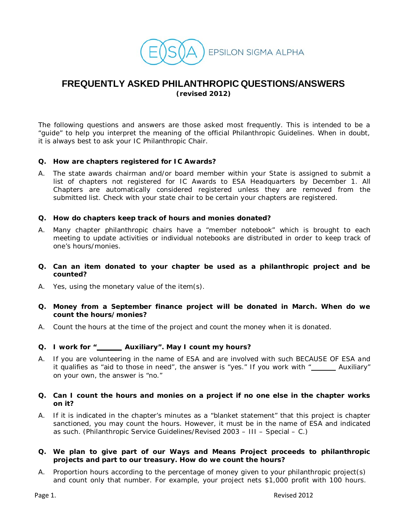

# **FREQUENTLY ASKED PHILANTHROPIC QUESTIONS/ANSWERS**

**(revised 2012)**

The following questions and answers are those asked most frequently. This is intended to be a "guide" to help you interpret the meaning of the official Philanthropic Guidelines. When in doubt, it is always best to ask your IC Philanthropic Chair.

# **Q. How are chapters registered for IC Awards?**

A. The state awards chairman and/or board member within your State is assigned to submit a list of chapters not registered for IC Awards to ESA Headquarters by December 1. All Chapters are automatically considered registered unless they are removed from the submitted list. Check with your state chair to be certain your chapters are registered.

# **Q. How do chapters keep track of hours and monies donated?**

- A. Many chapter philanthropic chairs have a "member notebook" which is brought to each meeting to update activities or individual notebooks are distributed in order to keep track of one's hours/monies.
- **Q. Can an item donated to your chapter be used as a philanthropic project and be counted?**
- A. Yes, using the monetary value of the item(s).
- **Q. Money from a September finance project will be donated in March. When do we count the hours/monies?**
- A. Count the hours at the time of the project and count the money when it is donated.

# **Q. I work for " Auxiliary". May I count my hours?**

A. If you are volunteering in the name of ESA and are involved with such BECAUSE OF ESA and it qualifies as "aid to those in need", the answer is "yes." If you work with " Auxiliary" on your own, the answer is "no."

## **Q. Can I count the hours and monies on a project if no one else in the chapter works on it?**

A. If it is indicated in the chapter's minutes as a "blanket statement" that this project is chapter sanctioned, you may count the hours. However, it must be in the name of ESA and indicated as such. (Philanthropic Service Guidelines/Revised 2003 – III – Special – C.)

# **Q. We plan to give part of our Ways and Means Project proceeds to philanthropic projects and part to our treasury. How do we count the hours?**

A. Proportion hours according to the percentage of money given to your philanthropic project(s) and count only that number. For example, your project nets \$1,000 profit with 100 hours.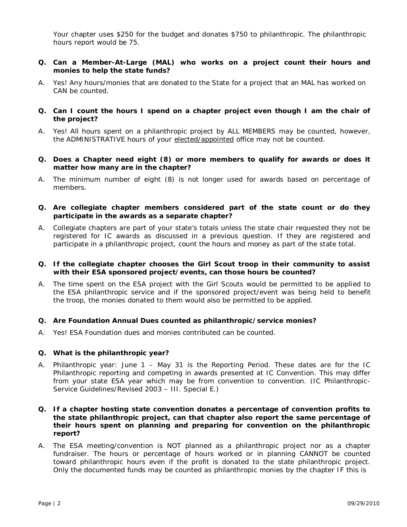Your chapter uses \$250 for the budget and donates \$750 to philanthropic. The philanthropic hours report would be 75.

## **Q. Can a Member-At-Large (MAL) who works on a project count their hours and monies to help the state funds?**

- A. Yes! Any hours/monies that are donated to the State for a project that an MAL has worked on CAN be counted.
- **Q. Can I count the hours I spend on a chapter project even though I am the chair of the project?**
- A. Yes! All hours spent on a philanthropic project by ALL MEMBERS may be counted, however, the ADMINISTRATIVE hours of your elected/appointed office may not be counted.
- **Q. Does a Chapter need eight (8) or more members to qualify for awards or does it matter how many are in the chapter?**
- A. The minimum number of eight (8) is not longer used for awards based on percentage of members.
- **Q. Are collegiate chapter members considered part of the state count or do they participate in the awards as a separate chapter?**
- A. Collegiate chapters are part of your state's totals unless the state chair requested they not be registered for IC awards as discussed in a previous question. If they are registered and participate in a philanthropic project, count the hours and money as part of the state total.
- **Q. If the collegiate chapter chooses the Girl Scout troop in their community to assist with their ESA sponsored project/events, can those hours be counted?**
- A. The time spent on the ESA project with the Girl Scouts would be permitted to be applied to the ESA philanthropic service and if the sponsored project/event was being held to benefit the troop, the monies donated to them would also be permitted to be applied.

# **Q. Are Foundation Annual Dues counted as philanthropic/service monies?**

A. Yes! ESA Foundation dues and monies contributed can be counted.

#### **Q. What is the philanthropic year?**

- A. Philanthropic year: June 1 May 31 is the Reporting Period. These dates are for the IC Philanthropic reporting and competing in awards presented at IC Convention. This may differ from your state ESA year which may be from convention to convention. (IC Philanthropic-Service Guidelines/Revised 2003 – III. Special E.)
- **Q. If a chapter hosting state convention donates a percentage of convention profits to the state philanthropic project, can that chapter also report the same percentage of their hours spent on planning and preparing for convention on the philanthropic report?**
- A. The ESA meeting/convention is NOT planned as a philanthropic project nor as a chapter fundraiser. The hours or percentage of hours worked or in planning CANNOT be counted toward philanthropic hours even if the profit is donated to the state philanthropic project. Only the documented funds may be counted as philanthropic monies by the chapter IF this is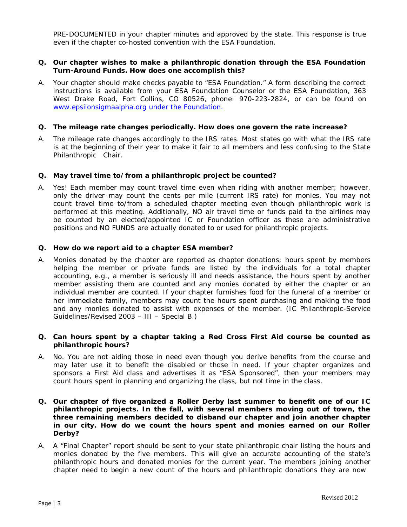PRE-DOCUMENTED in your chapter minutes and approved by the state. This response is true even if the chapter co-hosted convention with the ESA Foundation.

## **Q. Our chapter wishes to make a philanthropic donation through the ESA Foundation Turn-Around Funds. How does one accomplish this?**

A. Your chapter should make checks payable to "ESA Foundation." A form describing the correct instructions is available from your ESA Foundation Counselor or the ESA Foundation, 363 West Drake Road, Fort Collins, CO 80526, phone: 970-223-2824, or can be found on www.epsilonsigmaalpha.org under the Foundation.

#### **Q. The mileage rate changes periodically. How does one govern the rate increase?**

A. The mileage rate changes accordingly to the IRS rates. Most states go with what the IRS rate is at the beginning of their year to make it fair to all members and less confusing to the State Philanthropic Chair.

## **Q. May travel time to/from a philanthropic project be counted?**

A. Yes! Each member may count travel time even when riding with another member; however, *only the driver* may count the cents per mile (current IRS rate) for monies. You may not count travel time to/from a scheduled chapter meeting even though philanthropic work is performed at this meeting. Additionally, NO air travel time or funds paid to the airlines may be counted by an elected/appointed IC or Foundation officer as these are administrative positions and NO FUNDS are actually donated to or used for philanthropic projects.

#### **Q. How do we report aid to a chapter ESA member?**

A. Monies donated by the chapter are reported as chapter donations; hours spent by members helping the member or private funds are listed by the individuals for a total chapter accounting, e.g., a member is seriously ill and needs assistance, the hours spent by another member assisting them are counted and any monies donated by either the chapter or an individual member are counted. If your chapter furnishes food for the funeral of a member or her immediate family, members may count the hours spent purchasing and making the food and any monies donated to assist with expenses of the member. (IC Philanthropic-Service Guidelines/Revised 2003 – III – Special B.)

## **Q. Can hours spent by a chapter taking a Red Cross First Aid course be counted as philanthropic hours?**

- A. No. You are not aiding those in need even though you derive benefits from the course and may later use it to benefit the disabled or those in need. If your chapter organizes and sponsors a First Aid class and advertises it as "ESA Sponsored", then your members may count hours spent in planning and organizing the class, but not time in the class.
- **Q. Our chapter of five organized a Roller Derby last summer to benefit one of our IC philanthropic projects. In the fall, with several members moving out of town, the three remaining members decided to disband our chapter and join another chapter in our city. How do we count the hours spent and monies earned on our Roller Derby?**
- A. A "Final Chapter" report should be sent to your state philanthropic chair listing the hours and monies donated by the five members. This will give an accurate accounting of the state's philanthropic hours and donated monies for the current year. The members joining another chapter need to begin a new count of the hours and philanthropic donations they are now